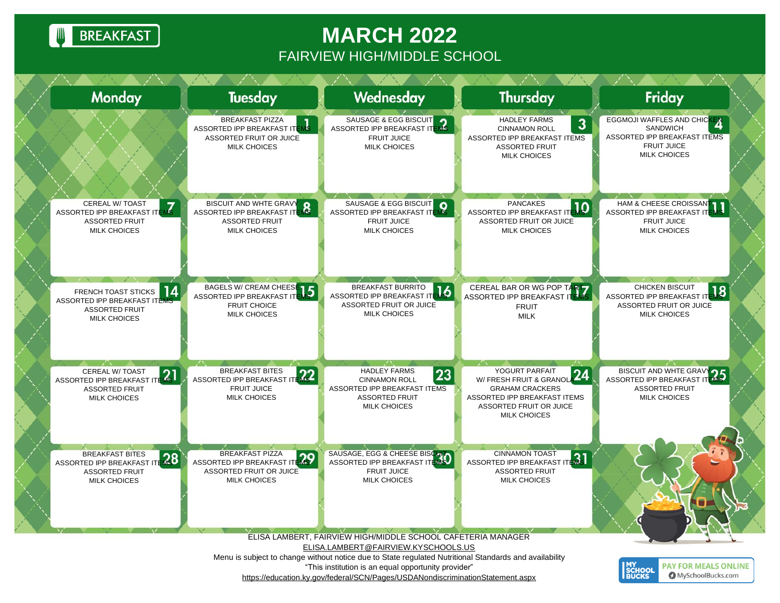**BREAKFAST** 

## **MARCH 2022** FAIRVIEW HIGH/MIDDLE SCHOOL

| <b>Monday</b>                                                                                                   | <b>Tuesday</b>                                                                                                      | Wednesday                                                                                                                                                                                                                                       | <b>Thursday</b>                                                                                                                             | Friday                                                                                                               |
|-----------------------------------------------------------------------------------------------------------------|---------------------------------------------------------------------------------------------------------------------|-------------------------------------------------------------------------------------------------------------------------------------------------------------------------------------------------------------------------------------------------|---------------------------------------------------------------------------------------------------------------------------------------------|----------------------------------------------------------------------------------------------------------------------|
|                                                                                                                 | <b>BREAKFAST PIZZA</b><br>мķ<br>ASSORTED IPP BREAKFAST ITE<br><b>ASSORTED FRUIT OR JUICE</b><br><b>MILK CHOICES</b> | SAUSAGE & EGG BISCUIT<br>ASSORTED IPP BREAKFAST ITEMS<br>FRUIT JUICE<br><b>MILK CHOICES</b>                                                                                                                                                     | <b>HADLEY FARMS</b><br>$\mathbf{3}$<br><b>CINNAMON ROLL</b><br>ASSORTED IPP BREAKFAST ITEMS<br><b>ASSORTED FRUIT</b><br><b>MILK CHOICES</b> | EGGMOJI WAFFLES AND CHICKEN<br>SANDWICH<br>ASSORTED IPP BREAKFAST ITEMS<br><b>FRUIT JUICE</b><br><b>MILK CHOICES</b> |
| <b>CEREAL W/ TOAST</b><br>ASSORTED IPP BREAKFAST ITE<br><b>ASSORTED FRUIT</b><br><b>MILK CHOICES</b>            | BISCUIT AND WHTE GRAVY<br>$\mathbf{R}$<br>ASSORTED IPP BREAKFAST IT<br><b>ASSORTED FRUIT</b><br><b>MILK CHOICES</b> | SAUSAGE & EGG BISCUIT<br>ASSORTED IPP BREAKFAST ITEMS<br><b>FRUIT JUICE</b><br>MILK CHOICES                                                                                                                                                     | <b>PANCAKES</b><br>ASSORTED IPP BREAKFAST IT<br><b>ASSORTED FRUIT OR JUICE</b><br><b>MILK CHOICES</b>                                       | HAM & CHEESE CROISSANT<br><b>ASSORTED IPP BREAKFAST IT</b><br><b>FRUIT JUICE</b><br><b>MILK CHOICES</b>              |
| 14<br>FRENCH TOAST STICKS<br>ASSORTED IPP BREAKFAST ITEMS<br><b>ASSORTED FRUIT</b><br><b>MILK CHOICES</b>       | BAGELS W/ CREAM CHEESE 15<br>ASSORTED IPP BREAKFAST IT<br><b>FRUIT CHOICE</b><br><b>MILK CHOICES</b>                | BREAKFAST BURRITO<br>ASSORTED IPP BREAKFAST ITENS<br>ASSORTED FRUIT OR JUICE<br><b>MILK CHOICES</b>                                                                                                                                             | CEREAL BAR OR WG POP TART<br>ASSORTED IPP BREAKFAST IT<br><b>FRUIT</b><br><b>MILK</b>                                                       | <b>CHICKEN BISCUIT</b><br>18<br>ASSORTED IPP BREAKFAST ITE<br>ASSORTED FRUIT OR JUICE<br><b>MILK CHOICES</b>         |
| CEREAL W/ TOAST<br>-21<br>ASSORTED IPP BREAKFAST<br><b>ASSORTED FRUIT</b><br><b>MILK CHOICES</b>                | ASSORTED IPP BREAKFAST ITE<br><b>FRUIT JUICE</b><br><b>MILK CHOICES</b>                                             | <b>HADLEY FARMS</b><br>23<br><b>CINNAMON ROLL</b><br>ASSORTED IPP BREAKFAST ITEMS<br><b>ASSORTED FRUIT</b><br><b>MILK CHOICES</b>                                                                                                               | W/ FRESH FRUIT & GRANOL 24<br><b>GRAHAM CRACKERS</b><br>ASSORTED IPP BREAKFAST ITEMS<br>ASSORTED FRUIT OR JUICE<br><b>MILK CHOICES</b>      | BISCUIT AND WHTE GRAVERS ASSORTED IPP BREAKFAST IT<br><b>ASSORTED FRUIT</b><br><b>MILK CHOICES</b>                   |
| <b>BREAKFAST BITES</b><br>$\sqrt{28}$<br>ASSORTED IPP BREAKFAST<br><b>ASSORTED FRUIT</b><br><b>MILK CHOICES</b> | <b>BREAKFAST PIZZA</b><br>ASSORTED IPP BREAKFAST ITEMS<br>ASSORTED FRUIT OR JUICE<br><b>MILK CHOICES</b>            | SAUSAGE, EGG & CHEESE BISCHLONGS<br><b>FRUIT JUICE</b><br><b>MILK CHOICES</b>                                                                                                                                                                   | <b>CINNAMON TOAST</b><br>ASSORTED IPP BREAKFAST ITEMS<br><b>ASSORTED FRUIT</b><br><b>MILK CHOICES</b>                                       |                                                                                                                      |
|                                                                                                                 |                                                                                                                     | ELISA LAMBERT, FAIRVIEW HIGH/MIDDLE SCHOOL CAFETERIA MANAGER<br>ELISA.LAMBERT@FAIRVIEW.KYSCHOOLS.US                                                                                                                                             |                                                                                                                                             |                                                                                                                      |
|                                                                                                                 |                                                                                                                     | Menu is subject to change without notice due to State regulated Nutritional Standards and availability<br>"This institution is an equal opportunity provider"<br>https://education.ky.gov/federal/SCN/Pages/USDANondiscriminationStatement.aspx |                                                                                                                                             | <b>MY<br/>SCHOOL</b><br>BUCKS<br><b>PAY FOR MEALS ONLINE</b><br><b>O</b> MySchoolBucks.com                           |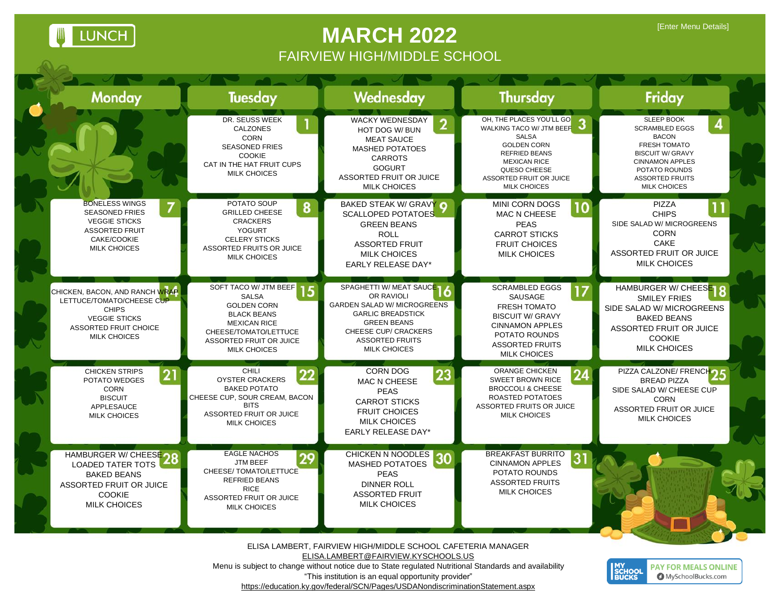LUNCH

## **MARCH 2022** FAIRVIEW HIGH/MIDDLE SCHOOL

**MY<br>SCHOOL**<br>BUCKS

**PAY FOR MEALS ONLINE** MySchoolBucks.com

| <b>Monday</b>                                                                                                                                       | <b>Tuesday</b>                                                                                                                                                                         | Wednesday                                                                                                                                                                                                 | Thursday                                                                                                                                                                                                    | Friday                                                                                                                                                                                            |
|-----------------------------------------------------------------------------------------------------------------------------------------------------|----------------------------------------------------------------------------------------------------------------------------------------------------------------------------------------|-----------------------------------------------------------------------------------------------------------------------------------------------------------------------------------------------------------|-------------------------------------------------------------------------------------------------------------------------------------------------------------------------------------------------------------|---------------------------------------------------------------------------------------------------------------------------------------------------------------------------------------------------|
|                                                                                                                                                     | DR. SEUSS WEEK<br><b>CALZONES</b><br><b>CORN</b><br><b>SEASONED FRIES</b><br><b>COOKIE</b><br>CAT IN THE HAT FRUIT CUPS<br><b>MILK CHOICES</b>                                         | <b>WACKY WEDNESDAY</b><br>HOT DOG W/ BUN<br><b>MEAT SAUCE</b><br><b>MASHED POTATOES</b><br><b>CARROTS</b><br><b>GOGURT</b><br><b>ASSORTED FRUIT OR JUICE</b><br><b>MILK CHOICES</b>                       | OH, THE PLACES YOU'LL GO<br>WALKING TACO W/ JTM BEEF<br><b>SALSA</b><br><b>GOLDEN CORN</b><br><b>REFRIED BEANS</b><br><b>MEXICAN RICE</b><br>QUESO CHEESE<br>ASSORTED FRUIT OR JUICE<br><b>MILK CHOICES</b> | <b>SLEEP BOOK</b><br><b>SCRAMBLED EGGS</b><br><b>BACON</b><br>FRESH TOMATO<br><b>BISCUIT W/ GRAVY</b><br><b>CINNAMON APPLES</b><br>POTATO ROUNDS<br><b>ASSORTED FRUITS</b><br><b>MILK CHOICES</b> |
| <b>BONELESS WINGS</b><br><b>SEASONED FRIES</b><br><b>VEGGIE STICKS</b><br><b>ASSORTED FRUIT</b><br>CAKE/COOKIE<br><b>MILK CHOICES</b>               | POTATO SOUP<br>8<br><b>GRILLED CHEESE</b><br><b>CRACKERS</b><br><b>YOGURT</b><br><b>CELERY STICKS</b><br>ASSORTED FRUITS OR JUICE<br><b>MILK CHOICES</b>                               | BAKED STEAK W/ GRAVY O<br><b>SCALLOPED POTATOES</b><br><b>GREEN BEANS</b><br><b>ROLL</b><br><b>ASSORTED FRUIT</b><br><b>MILK CHOICES</b><br>EARLY RELEASE DAY*                                            | <b>MINI CORN DOGS</b><br>10<br><b>MAC N CHEESE</b><br><b>PEAS</b><br><b>CARROT STICKS</b><br><b>FRUIT CHOICES</b><br><b>MILK CHOICES</b>                                                                    | <b>PIZZA</b><br><b>CHIPS</b><br>SIDE SALAD W/ MICROGREENS<br><b>CORN</b><br>CAKE<br><b>ASSORTED FRUIT OR JUICE</b><br><b>MILK CHOICES</b>                                                         |
| CHICKEN, BACON, AND RANCH WRAP<br>LETTUCE/TOMATO/CHEESE CUP<br><b>CHIPS</b><br><b>VEGGIE STICKS</b><br>ASSORTED FRUIT CHOICE<br><b>MILK CHOICES</b> | SOFT TACO W/ JTM BEEF 15<br><b>SALSA</b><br><b>GOLDEN CORN</b><br><b>BLACK BEANS</b><br><b>MEXICAN RICE</b><br>CHEESE/TOMATO/LETTUCE<br>ASSORTED FRUIT OR JUICE<br><b>MILK CHOICES</b> | SPAGHETTI W/ MEAT SAUCE 16<br>OR RAVIOLI<br><b>GARDEN SALAD W/ MICROGREENS</b><br><b>GARLIC BREADSTICK</b><br><b>GREEN BEANS</b><br>CHEESE CUP/ CRACKERS<br><b>ASSORTED FRUITS</b><br><b>MILK CHOICES</b> | <b>SCRAMBLED EGGS</b><br>17<br><b>SAUSAGE</b><br><b>FRESH TOMATO</b><br><b>BISCUIT W/ GRAVY</b><br><b>CINNAMON APPLES</b><br>POTATO ROUNDS<br><b>ASSORTED FRUITS</b><br><b>MILK CHOICES</b>                 | HAMBURGER W/ CHEESE O<br><b>SMILEY FRIES</b><br>SIDE SALAD W/ MICROGREENS<br><b>BAKED BEANS</b><br>ASSORTED FRUIT OR JUICE<br><b>COOKIE</b><br><b>MILK CHOICES</b>                                |
| <b>CHICKEN STRIPS</b><br>21<br>POTATO WEDGES<br><b>CORN</b><br><b>BISCUIT</b><br>APPLESAUCE<br><b>MILK CHOICES</b>                                  | <b>CHILI</b><br>22<br><b>OYSTER CRACKERS</b><br><b>BAKED POTATO</b><br>CHEESE CUP, SOUR CREAM, BACON<br><b>BITS</b><br>ASSORTED FRUIT OR JUICE<br><b>MILK CHOICES</b>                  | <b>CORN DOG</b><br>23<br><b>MAC N CHEESE</b><br><b>PEAS</b><br><b>CARROT STICKS</b><br><b>FRUIT CHOICES</b><br><b>MILK CHOICES</b><br>EARLY RELEASE DAY*                                                  | <b>ORANGE CHICKEN</b><br><b>SWEET BROWN RICE</b><br><b>BROCCOLI &amp; CHEESE</b><br><b>ROASTED POTATOES</b><br>ASSORTED FRUITS OR JUICE<br><b>MILK CHOICES</b>                                              | PIZZA CALZONE/ FRENCHO<br><b>BREAD PIZZA</b><br>SIDE SALAD W/ CHEESE CUP<br><b>CORN</b><br><b>ASSORTED FRUIT OR JUICE</b><br><b>MILK CHOICES</b>                                                  |
| HAMBURGER W/ CHEESE OO<br><b>LOADED TATER TOTS</b><br><b>BAKED BEANS</b><br>ASSORTED FRUIT OR JUICE<br><b>COOKIE</b><br><b>MILK CHOICES</b>         | <b>EAGLE NACHOS</b><br>29<br><b>JTM BEEF</b><br>CHEESE/ TOMATO/LETTUCE<br><b>REFRIED BEANS</b><br><b>RICE</b><br>ASSORTED FRUIT OR JUICE<br><b>MILK CHOICES</b>                        | CHICKEN N NOODLES 30<br>MASHED POTATOES<br><b>PEAS</b><br><b>DINNER ROLL</b><br><b>ASSORTED FRUIT</b><br><b>MILK CHOICES</b>                                                                              | <b>BREAKFAST BURRITO</b><br>3 <sup>1</sup><br><b>CINNAMON APPLES</b><br>POTATO ROUNDS<br><b>ASSORTED FRUITS</b><br><b>MILK CHOICES</b>                                                                      |                                                                                                                                                                                                   |

ELISA LAMBERT, FAIRVIEW HIGH/MIDDLE SCHOOL CAFETERIA MANAGER [ELISA.LAMBERT@FAIRVIEW.KYSCHOOLS.US](mailto:RHONDA.JOHNSON@FAIRVIEW.KYSCHOOLS.US) Menu is subject to change without notice due to State regulated Nutritional Standards and availability "This institution is an equal opportunity provider"

<https://education.ky.gov/federal/SCN/Pages/USDANondiscriminationStatement.aspx>